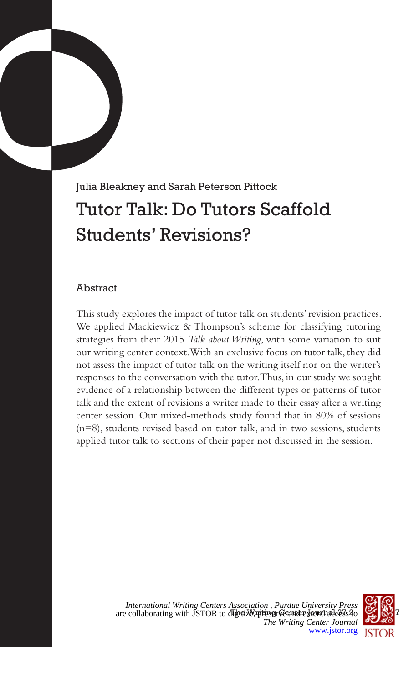# Julia Bleakney and Sarah Peterson Pittock Tutor Talk: Do Tutors Scaffold Students' Revisions?

## Abstract

This study explores the impact of tutor talk on students' revision practices. We applied Mackiewicz & Thompson's scheme for classifying tutoring strategies from their 2015 *Talk about Writing*, with some variation to suit our writing center context. With an exclusive focus on tutor talk, they did not assess the impact of tutor talk on the writing itself nor on the writer's responses to the conversation with the tutor. Thus, in our study we sought evidence of a relationship between the different types or patterns of tutor talk and the extent of revisions a writer made to their essay after a writing center session. Our mixed-methods study found that in 80% of sessions (n=8), students revised based on tutor talk, and in two sessions, students applied tutor talk to sections of their paper not discussed in the session.



are collaborating with JSTOR to digitize  $\frac{1}{2}$  where  $\frac{1}{2}$  and  $\frac{1}{2}$  and  $\frac{1}{2}$  and  $\frac{1}{2}$  and  $\frac{1}{2}$  and  $\frac{1}{2}$  and  $\frac{1}{2}$  and  $\frac{1}{2}$  and  $\frac{1}{2}$  and  $\frac{1}{2}$  and  $\frac{1}{2}$  and  $\frac{1}{2}$  *International Writing Centers Association , Purdue University Press The Writing Center Journal* [www.jstor.org](https://www.jstor.org)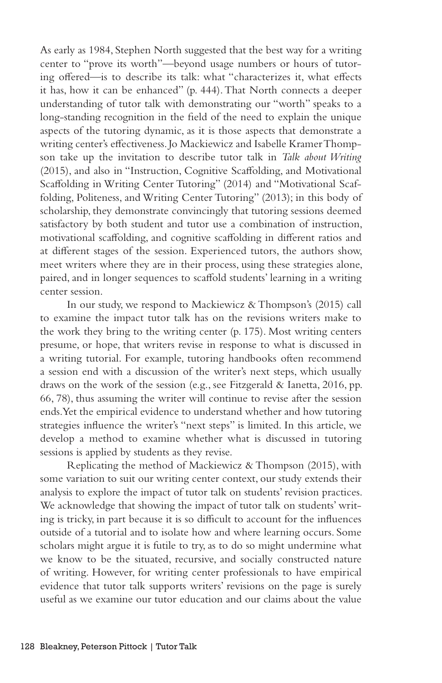As early as 1984, Stephen North suggested that the best way for a writing center to "prove its worth"—beyond usage numbers or hours of tutoring offered—is to describe its talk: what "characterizes it, what effects it has, how it can be enhanced" (p. 444). That North connects a deeper understanding of tutor talk with demonstrating our "worth" speaks to a long-standing recognition in the field of the need to explain the unique aspects of the tutoring dynamic, as it is those aspects that demonstrate a writing center's effectiveness. Jo Mackiewicz and Isabelle Kramer Thompson take up the invitation to describe tutor talk in *Talk about Writing* (2015), and also in "Instruction, Cognitive Scaffolding, and Motivational Scaffolding in Writing Center Tutoring" (2014) and "Motivational Scaffolding, Politeness, and Writing Center Tutoring" (2013); in this body of scholarship, they demonstrate convincingly that tutoring sessions deemed satisfactory by both student and tutor use a combination of instruction, motivational scaffolding, and cognitive scaffolding in different ratios and at different stages of the session. Experienced tutors, the authors show, meet writers where they are in their process, using these strategies alone, paired, and in longer sequences to scaffold students' learning in a writing center session.

In our study, we respond to Mackiewicz & Thompson's (2015) call to examine the impact tutor talk has on the revisions writers make to the work they bring to the writing center (p. 175). Most writing centers presume, or hope, that writers revise in response to what is discussed in a writing tutorial. For example, tutoring handbooks often recommend a session end with a discussion of the writer's next steps, which usually draws on the work of the session (e.g., see Fitzgerald & Ianetta, 2016, pp. 66, 78), thus assuming the writer will continue to revise after the session ends. Yet the empirical evidence to understand whether and how tutoring strategies influence the writer's "next steps" is limited. In this article, we develop a method to examine whether what is discussed in tutoring sessions is applied by students as they revise.

Replicating the method of Mackiewicz & Thompson (2015), with some variation to suit our writing center context, our study extends their analysis to explore the impact of tutor talk on students' revision practices. We acknowledge that showing the impact of tutor talk on students' writing is tricky, in part because it is so difficult to account for the influences outside of a tutorial and to isolate how and where learning occurs. Some scholars might argue it is futile to try, as to do so might undermine what we know to be the situated, recursive, and socially constructed nature of writing. However, for writing center professionals to have empirical evidence that tutor talk supports writers' revisions on the page is surely useful as we examine our tutor education and our claims about the value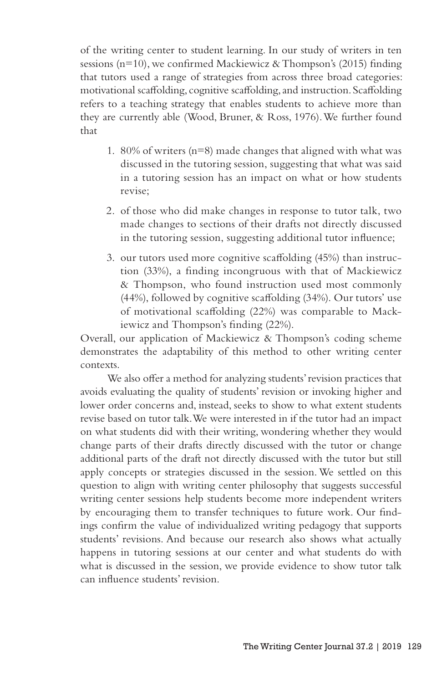of the writing center to student learning. In our study of writers in ten sessions ( $n=10$ ), we confirmed Mackiewicz & Thompson's (2015) finding that tutors used a range of strategies from across three broad categories: motivational scaffolding, cognitive scaffolding, and instruction. Scaffolding refers to a teaching strategy that enables students to achieve more than they are currently able (Wood, Bruner, & Ross, 1976). We further found that

- 1. 80% of writers (n=8) made changes that aligned with what was discussed in the tutoring session, suggesting that what was said in a tutoring session has an impact on what or how students revise;
- 2. of those who did make changes in response to tutor talk, two made changes to sections of their drafts not directly discussed in the tutoring session, suggesting additional tutor influence;
- 3. our tutors used more cognitive scaffolding (45%) than instruction (33%), a finding incongruous with that of Mackiewicz & Thompson, who found instruction used most commonly (44%), followed by cognitive scaffolding (34%). Our tutors' use of motivational scaffolding (22%) was comparable to Mackiewicz and Thompson's finding (22%).

Overall, our application of Mackiewicz & Thompson's coding scheme demonstrates the adaptability of this method to other writing center contexts.

We also offer a method for analyzing students' revision practices that avoids evaluating the quality of students' revision or invoking higher and lower order concerns and, instead, seeks to show to what extent students revise based on tutor talk. We were interested in if the tutor had an impact on what students did with their writing, wondering whether they would change parts of their drafts directly discussed with the tutor or change additional parts of the draft not directly discussed with the tutor but still apply concepts or strategies discussed in the session. We settled on this question to align with writing center philosophy that suggests successful writing center sessions help students become more independent writers by encouraging them to transfer techniques to future work. Our findings confirm the value of individualized writing pedagogy that supports students' revisions. And because our research also shows what actually happens in tutoring sessions at our center and what students do with what is discussed in the session, we provide evidence to show tutor talk can influence students' revision.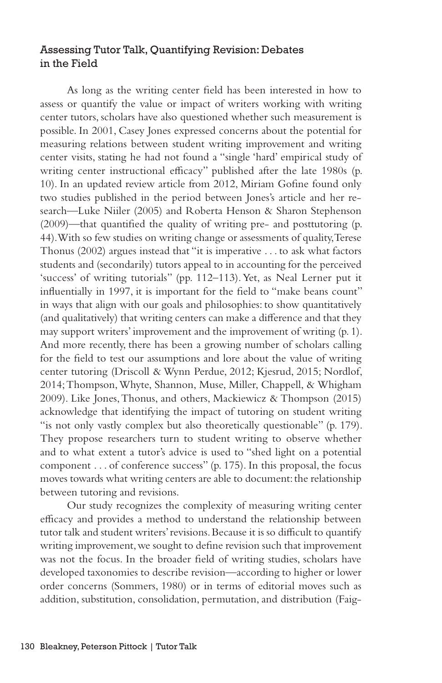## Assessing Tutor Talk, Quantifying Revision: Debates in the Field

As long as the writing center field has been interested in how to assess or quantify the value or impact of writers working with writing center tutors, scholars have also questioned whether such measurement is possible. In 2001, Casey Jones expressed concerns about the potential for measuring relations between student writing improvement and writing center visits, stating he had not found a "single 'hard' empirical study of writing center instructional efficacy" published after the late 1980s (p. 10). In an updated review article from 2012, Miriam Gofine found only two studies published in the period between Jones's article and her research—Luke Niiler (2005) and Roberta Henson & Sharon Stephenson (2009)—that quantified the quality of writing pre- and posttutoring (p. 44). With so few studies on writing change or assessments of quality, Terese Thonus (2002) argues instead that "it is imperative . . . to ask what factors students and (secondarily) tutors appeal to in accounting for the perceived 'success' of writing tutorials" (pp. 112–113). Yet, as Neal Lerner put it influentially in 1997, it is important for the field to "make beans count" in ways that align with our goals and philosophies: to show quantitatively (and qualitatively) that writing centers can make a difference and that they may support writers' improvement and the improvement of writing (p. 1). And more recently, there has been a growing number of scholars calling for the field to test our assumptions and lore about the value of writing center tutoring (Driscoll & Wynn Perdue, 2012; Kjesrud, 2015; Nordlof, 2014; Thompson, Whyte, Shannon, Muse, Miller, Chappell, & Whigham 2009). Like Jones, Thonus, and others, Mackiewicz & Thompson (2015) acknowledge that identifying the impact of tutoring on student writing "is not only vastly complex but also theoretically questionable" (p. 179). They propose researchers turn to student writing to observe whether and to what extent a tutor's advice is used to "shed light on a potential component . . . of conference success" (p. 175). In this proposal, the focus moves towards what writing centers are able to document: the relationship between tutoring and revisions.

Our study recognizes the complexity of measuring writing center efficacy and provides a method to understand the relationship between tutor talk and student writers' revisions. Because it is so difficult to quantify writing improvement, we sought to define revision such that improvement was not the focus. In the broader field of writing studies, scholars have developed taxonomies to describe revision—according to higher or lower order concerns (Sommers, 1980) or in terms of editorial moves such as addition, substitution, consolidation, permutation, and distribution (Faig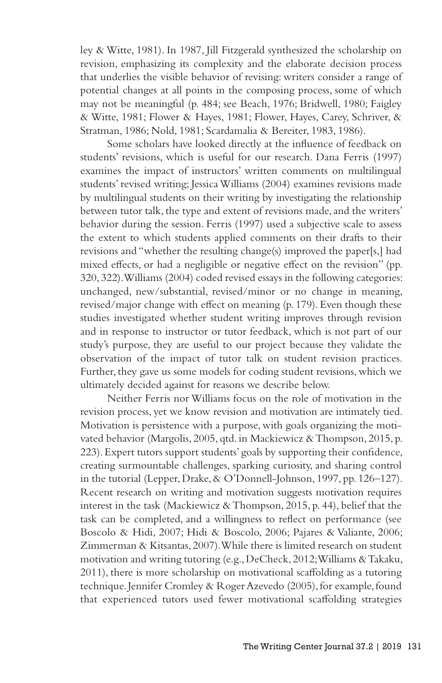ley & Witte, 1981). In 1987, Jill Fitzgerald synthesized the scholarship on revision, emphasizing its complexity and the elaborate decision process that underlies the visible behavior of revising: writers consider a range of potential changes at all points in the composing process, some of which may not be meaningful (p. 484; see Beach, 1976; Bridwell, 1980; Faigley & Witte, 1981; Flower & Hayes, 1981; Flower, Hayes, Carey, Schriver, & Stratman, 1986; Nold, 1981; Scardamalia & Bereiter, 1983, 1986).

Some scholars have looked directly at the influence of feedback on students' revisions, which is useful for our research. Dana Ferris (1997) examines the impact of instructors' written comments on multilingual students' revised writing; Jessica Williams (2004) examines revisions made by multilingual students on their writing by investigating the relationship between tutor talk, the type and extent of revisions made, and the writers' behavior during the session. Ferris (1997) used a subjective scale to assess the extent to which students applied comments on their drafts to their revisions and "whether the resulting change(s) improved the paper[s,] had mixed effects, or had a negligible or negative effect on the revision" (pp. 320, 322). Williams (2004) coded revised essays in the following categories: unchanged, new/substantial, revised/minor or no change in meaning, revised/major change with effect on meaning (p. 179). Even though these studies investigated whether student writing improves through revision and in response to instructor or tutor feedback, which is not part of our study's purpose, they are useful to our project because they validate the observation of the impact of tutor talk on student revision practices. Further, they gave us some models for coding student revisions, which we ultimately decided against for reasons we describe below.

Neither Ferris nor Williams focus on the role of motivation in the revision process, yet we know revision and motivation are intimately tied. Motivation is persistence with a purpose, with goals organizing the motivated behavior (Margolis, 2005, qtd. in Mackiewicz & Thompson, 2015, p. 223). Expert tutors support students' goals by supporting their confidence, creating surmountable challenges, sparking curiosity, and sharing control in the tutorial (Lepper, Drake, & O'Donnell-Johnson, 1997, pp. 126–127). Recent research on writing and motivation suggests motivation requires interest in the task (Mackiewicz & Thompson, 2015, p. 44), belief that the task can be completed, and a willingness to reflect on performance (see Boscolo & Hidi, 2007; Hidi & Boscolo, 2006; Pajares & Valiante, 2006; Zimmerman & Kitsantas, 2007). While there is limited research on student motivation and writing tutoring (e.g., DeCheck, 2012; Williams & Takaku, 2011), there is more scholarship on motivational scaffolding as a tutoring technique. Jennifer Cromley & Roger Azevedo (2005), for example, found that experienced tutors used fewer motivational scaffolding strategies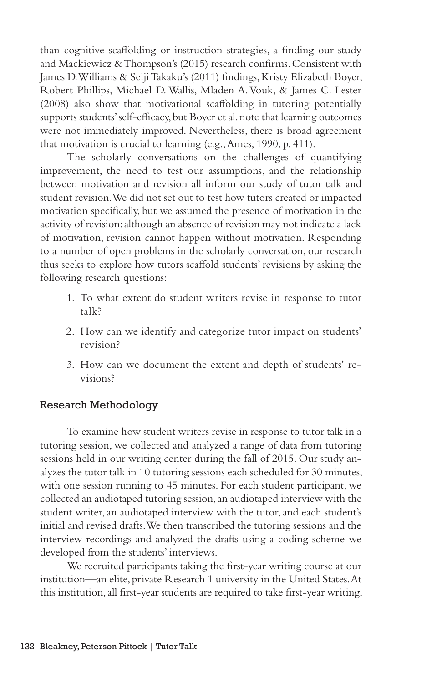than cognitive scaffolding or instruction strategies, a finding our study and Mackiewicz & Thompson's (2015) research confirms. Consistent with James D. Williams & Seiji Takaku's (2011) findings, Kristy Elizabeth Boyer, Robert Phillips, Michael D. Wallis, Mladen A. Vouk, & James C. Lester (2008) also show that motivational scaffolding in tutoring potentially supports students' self-efficacy, but Boyer et al. note that learning outcomes were not immediately improved. Nevertheless, there is broad agreement that motivation is crucial to learning (e.g., Ames, 1990, p. 411).

The scholarly conversations on the challenges of quantifying improvement, the need to test our assumptions, and the relationship between motivation and revision all inform our study of tutor talk and student revision. We did not set out to test how tutors created or impacted motivation specifically, but we assumed the presence of motivation in the activity of revision: although an absence of revision may not indicate a lack of motivation, revision cannot happen without motivation. Responding to a number of open problems in the scholarly conversation, our research thus seeks to explore how tutors scaffold students' revisions by asking the following research questions:

- 1. To what extent do student writers revise in response to tutor talk?
- 2. How can we identify and categorize tutor impact on students' revision?
- 3. How can we document the extent and depth of students' revisions?

#### Research Methodology

To examine how student writers revise in response to tutor talk in a tutoring session, we collected and analyzed a range of data from tutoring sessions held in our writing center during the fall of 2015. Our study analyzes the tutor talk in 10 tutoring sessions each scheduled for 30 minutes, with one session running to 45 minutes. For each student participant, we collected an audiotaped tutoring session, an audiotaped interview with the student writer, an audiotaped interview with the tutor, and each student's initial and revised drafts. We then transcribed the tutoring sessions and the interview recordings and analyzed the drafts using a coding scheme we developed from the students' interviews.

We recruited participants taking the first-year writing course at our institution—an elite, private Research 1 university in the United States. At this institution, all first-year students are required to take first-year writing,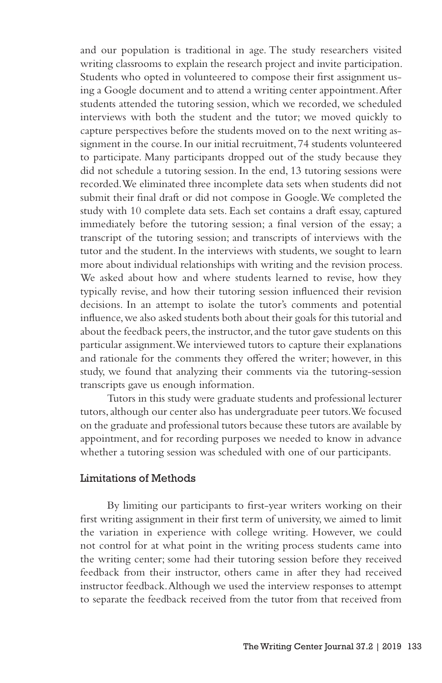and our population is traditional in age. The study researchers visited writing classrooms to explain the research project and invite participation. Students who opted in volunteered to compose their first assignment using a Google document and to attend a writing center appointment. After students attended the tutoring session, which we recorded, we scheduled interviews with both the student and the tutor; we moved quickly to capture perspectives before the students moved on to the next writing assignment in the course. In our initial recruitment, 74 students volunteered to participate. Many participants dropped out of the study because they did not schedule a tutoring session. In the end, 13 tutoring sessions were recorded. We eliminated three incomplete data sets when students did not submit their final draft or did not compose in Google. We completed the study with 10 complete data sets. Each set contains a draft essay, captured immediately before the tutoring session; a final version of the essay; a transcript of the tutoring session; and transcripts of interviews with the tutor and the student. In the interviews with students, we sought to learn more about individual relationships with writing and the revision process. We asked about how and where students learned to revise, how they typically revise, and how their tutoring session influenced their revision decisions. In an attempt to isolate the tutor's comments and potential influence, we also asked students both about their goals for this tutorial and about the feedback peers, the instructor, and the tutor gave students on this particular assignment. We interviewed tutors to capture their explanations and rationale for the comments they offered the writer; however, in this study, we found that analyzing their comments via the tutoring-session transcripts gave us enough information.

Tutors in this study were graduate students and professional lecturer tutors, although our center also has undergraduate peer tutors. We focused on the graduate and professional tutors because these tutors are available by appointment, and for recording purposes we needed to know in advance whether a tutoring session was scheduled with one of our participants.

#### Limitations of Methods

By limiting our participants to first-year writers working on their first writing assignment in their first term of university, we aimed to limit the variation in experience with college writing. However, we could not control for at what point in the writing process students came into the writing center; some had their tutoring session before they received feedback from their instructor, others came in after they had received instructor feedback. Although we used the interview responses to attempt to separate the feedback received from the tutor from that received from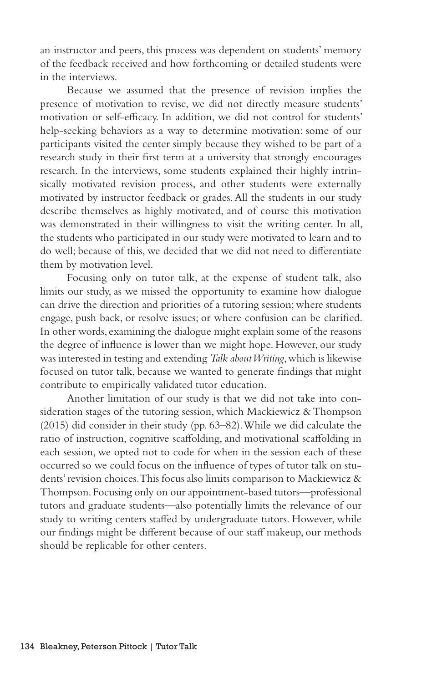an instructor and peers, this process was dependent on students' memory of the feedback received and how forthcoming or detailed students were in the interviews.

Because we assumed that the presence of revision implies the presence of motivation to revise, we did not directly measure students' motivation or self-efficacy. In addition, we did not control for students' help-seeking behaviors as a way to determine motivation: some of our participants visited the center simply because they wished to be part of a research study in their first term at a university that strongly encourages research. In the interviews, some students explained their highly intrinsically motivated revision process, and other students were externally motivated by instructor feedback or grades. All the students in our study describe themselves as highly motivated, and of course this motivation was demonstrated in their willingness to visit the writing center. In all, the students who participated in our study were motivated to learn and to do well; because of this, we decided that we did not need to differentiate them by motivation level.

Focusing only on tutor talk, at the expense of student talk, also limits our study, as we missed the opportunity to examine how dialogue can drive the direction and priorities of a tutoring session; where students engage, push back, or resolve issues; or where confusion can be clarified. In other words, examining the dialogue might explain some of the reasons the degree of influence is lower than we might hope. However, our study was interested in testing and extending *Talk about Writing*, which is likewise focused on tutor talk, because we wanted to generate findings that might contribute to empirically validated tutor education.

Another limitation of our study is that we did not take into consideration stages of the tutoring session, which Mackiewicz & Thompson (2015) did consider in their study (pp. 63–82). While we did calculate the ratio of instruction, cognitive scaffolding, and motivational scaffolding in each session, we opted not to code for when in the session each of these occurred so we could focus on the influence of types of tutor talk on students' revision choices. This focus also limits comparison to Mackiewicz & Thompson. Focusing only on our appointment-based tutors—professional tutors and graduate students—also potentially limits the relevance of our study to writing centers staffed by undergraduate tutors. However, while our findings might be different because of our staff makeup, our methods should be replicable for other centers.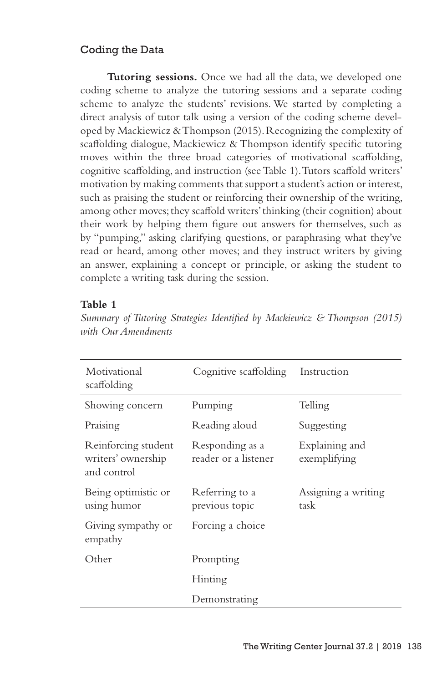## Coding the Data

**Tutoring sessions.** Once we had all the data, we developed one coding scheme to analyze the tutoring sessions and a separate coding scheme to analyze the students' revisions. We started by completing a direct analysis of tutor talk using a version of the coding scheme developed by Mackiewicz & Thompson (2015). Recognizing the complexity of scaffolding dialogue, Mackiewicz & Thompson identify specific tutoring moves within the three broad categories of motivational scaffolding, cognitive scaffolding, and instruction (see Table 1). Tutors scaffold writers' motivation by making comments that support a student's action or interest, such as praising the student or reinforcing their ownership of the writing, among other moves; they scaffold writers' thinking (their cognition) about their work by helping them figure out answers for themselves, such as by "pumping," asking clarifying questions, or paraphrasing what they've read or heard, among other moves; and they instruct writers by giving an answer, explaining a concept or principle, or asking the student to complete a writing task during the session.

#### **Table 1**

| Motivational<br>scaffolding                              | Cognitive scaffolding                   | Instruction                    |  |  |  |
|----------------------------------------------------------|-----------------------------------------|--------------------------------|--|--|--|
| Showing concern                                          | Pumping                                 | Telling                        |  |  |  |
| Praising                                                 | Reading aloud                           | Suggesting                     |  |  |  |
| Reinforcing student<br>writers' ownership<br>and control | Responding as a<br>reader or a listener | Explaining and<br>exemplifying |  |  |  |
| Being optimistic or<br>using humor                       | Referring to a<br>previous topic        | Assigning a writing<br>task    |  |  |  |
| Giving sympathy or<br>empathy                            | Forcing a choice                        |                                |  |  |  |
| Other                                                    | Prompting                               |                                |  |  |  |
|                                                          | Hinting                                 |                                |  |  |  |
|                                                          | Demonstrating                           |                                |  |  |  |

*Summary of Tutoring Strategies Identified by Mackiewicz & Thompson (2015) with Our Amendments*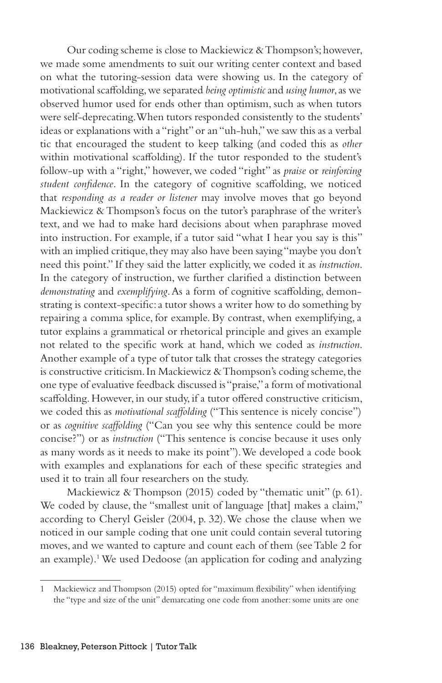Our coding scheme is close to Mackiewicz & Thompson's; however, we made some amendments to suit our writing center context and based on what the tutoring-session data were showing us. In the category of motivational scaffolding, we separated *being optimistic* and *using humor*, as we observed humor used for ends other than optimism, such as when tutors were self-deprecating. When tutors responded consistently to the students' ideas or explanations with a "right" or an "uh-huh," we saw this as a verbal tic that encouraged the student to keep talking (and coded this as *other*  within motivational scaffolding). If the tutor responded to the student's follow-up with a "right," however, we coded "right" as *praise* or *reinforcing student confidence*. In the category of cognitive scaffolding, we noticed that *responding as a reader or listener* may involve moves that go beyond Mackiewicz & Thompson's focus on the tutor's paraphrase of the writer's text, and we had to make hard decisions about when paraphrase moved into instruction. For example, if a tutor said "what I hear you say is this" with an implied critique, they may also have been saying "maybe you don't need this point." If they said the latter explicitly, we coded it as *instruction*. In the category of instruction, we further clarified a distinction between *demonstrating* and *exemplifying*. As a form of cognitive scaffolding, demonstrating is context-specific: a tutor shows a writer how to do something by repairing a comma splice, for example. By contrast, when exemplifying, a tutor explains a grammatical or rhetorical principle and gives an example not related to the specific work at hand, which we coded as *instruction*. Another example of a type of tutor talk that crosses the strategy categories is constructive criticism. In Mackiewicz & Thompson's coding scheme, the one type of evaluative feedback discussed is "praise," a form of motivational scaffolding. However, in our study, if a tutor offered constructive criticism, we coded this as *motivational scaffolding* ("This sentence is nicely concise") or as *cognitive scaffolding* ("Can you see why this sentence could be more concise?") or as *instruction* ("This sentence is concise because it uses only as many words as it needs to make its point"). We developed a code book with examples and explanations for each of these specific strategies and used it to train all four researchers on the study.

Mackiewicz & Thompson (2015) coded by "thematic unit" (p. 61). We coded by clause, the "smallest unit of language [that] makes a claim," according to Cheryl Geisler (2004, p. 32). We chose the clause when we noticed in our sample coding that one unit could contain several tutoring moves, and we wanted to capture and count each of them (see Table 2 for an example).1 We used Dedoose (an application for coding and analyzing

Mackiewicz and Thompson (2015) opted for "maximum flexibility" when identifying the "type and size of the unit" demarcating one code from another: some units are one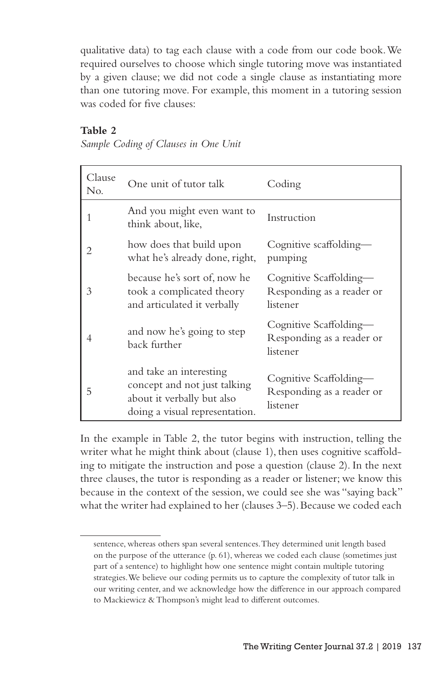qualitative data) to tag each clause with a code from our code book. We required ourselves to choose which single tutoring move was instantiated by a given clause; we did not code a single clause as instantiating more than one tutoring move. For example, this moment in a tutoring session was coded for five clauses:

## **Table 2**

*Sample Coding of Clauses in One Unit*

| Clause<br>No. | One unit of tutor talk                                                                                                  | Coding                                                          |
|---------------|-------------------------------------------------------------------------------------------------------------------------|-----------------------------------------------------------------|
| 1             | And you might even want to<br>think about, like,                                                                        | Instruction                                                     |
| 2             | how does that build upon<br>what he's already done, right,                                                              | Cognitive scaffolding-<br>pumping                               |
| 3             | because he's sort of, now he<br>took a complicated theory<br>and articulated it verbally                                | Cognitive Scaffolding—<br>Responding as a reader or<br>listener |
|               | and now he's going to step<br>back further                                                                              | Cognitive Scaffolding—<br>Responding as a reader or<br>listener |
| 5             | and take an interesting<br>concept and not just talking<br>about it verbally but also<br>doing a visual representation. | Cognitive Scaffolding—<br>Responding as a reader or<br>listener |

In the example in Table 2, the tutor begins with instruction, telling the writer what he might think about (clause 1), then uses cognitive scaffolding to mitigate the instruction and pose a question (clause 2). In the next three clauses, the tutor is responding as a reader or listener; we know this because in the context of the session, we could see she was "saying back" what the writer had explained to her (clauses 3–5). Because we coded each

sentence, whereas others span several sentences. They determined unit length based on the purpose of the utterance (p. 61), whereas we coded each clause (sometimes just part of a sentence) to highlight how one sentence might contain multiple tutoring strategies. We believe our coding permits us to capture the complexity of tutor talk in our writing center, and we acknowledge how the difference in our approach compared to Mackiewicz & Thompson's might lead to different outcomes.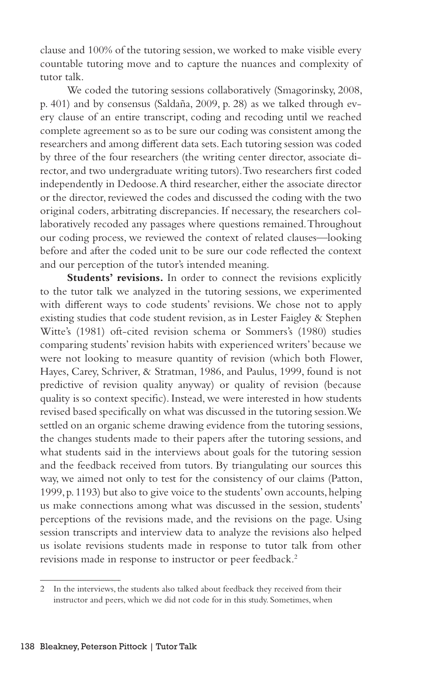clause and 100% of the tutoring session, we worked to make visible every countable tutoring move and to capture the nuances and complexity of tutor talk.

We coded the tutoring sessions collaboratively (Smagorinsky, 2008, p. 401) and by consensus (Saldaña, 2009, p. 28) as we talked through every clause of an entire transcript, coding and recoding until we reached complete agreement so as to be sure our coding was consistent among the researchers and among different data sets. Each tutoring session was coded by three of the four researchers (the writing center director, associate director, and two undergraduate writing tutors). Two researchers first coded independently in Dedoose. A third researcher, either the associate director or the director, reviewed the codes and discussed the coding with the two original coders, arbitrating discrepancies. If necessary, the researchers collaboratively recoded any passages where questions remained. Throughout our coding process, we reviewed the context of related clauses—looking before and after the coded unit to be sure our code reflected the context and our perception of the tutor's intended meaning.

Students' revisions. In order to connect the revisions explicitly to the tutor talk we analyzed in the tutoring sessions, we experimented with different ways to code students' revisions. We chose not to apply existing studies that code student revision, as in Lester Faigley & Stephen Witte's (1981) oft-cited revision schema or Sommers's (1980) studies comparing students' revision habits with experienced writers' because we were not looking to measure quantity of revision (which both Flower, Hayes, Carey, Schriver, & Stratman, 1986, and Paulus, 1999, found is not predictive of revision quality anyway) or quality of revision (because quality is so context specific). Instead, we were interested in how students revised based specifically on what was discussed in the tutoring session. We settled on an organic scheme drawing evidence from the tutoring sessions, the changes students made to their papers after the tutoring sessions, and what students said in the interviews about goals for the tutoring session and the feedback received from tutors. By triangulating our sources this way, we aimed not only to test for the consistency of our claims (Patton, 1999, p. 1193) but also to give voice to the students' own accounts, helping us make connections among what was discussed in the session, students' perceptions of the revisions made, and the revisions on the page. Using session transcripts and interview data to analyze the revisions also helped us isolate revisions students made in response to tutor talk from other revisions made in response to instructor or peer feedback.2

<sup>2</sup> In the interviews, the students also talked about feedback they received from their instructor and peers, which we did not code for in this study. Sometimes, when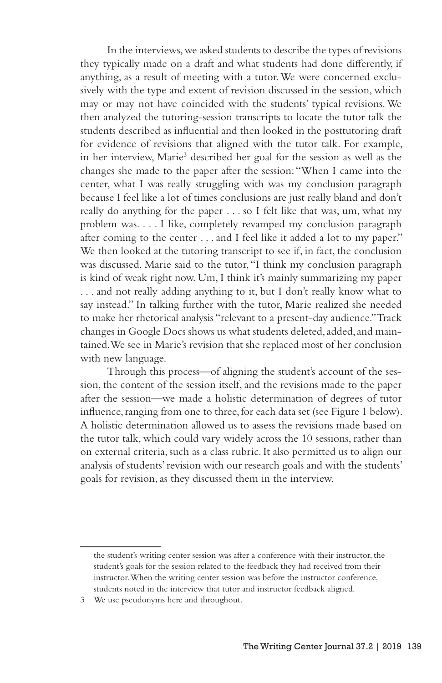In the interviews, we asked students to describe the types of revisions they typically made on a draft and what students had done differently, if anything, as a result of meeting with a tutor. We were concerned exclusively with the type and extent of revision discussed in the session, which may or may not have coincided with the students' typical revisions. We then analyzed the tutoring-session transcripts to locate the tutor talk the students described as influential and then looked in the posttutoring draft for evidence of revisions that aligned with the tutor talk. For example, in her interview, Marie<sup>3</sup> described her goal for the session as well as the changes she made to the paper after the session: "When I came into the center, what I was really struggling with was my conclusion paragraph because I feel like a lot of times conclusions are just really bland and don't really do anything for the paper . . . so I felt like that was, um, what my problem was. . . . I like, completely revamped my conclusion paragraph after coming to the center . . . and I feel like it added a lot to my paper." We then looked at the tutoring transcript to see if, in fact, the conclusion was discussed. Marie said to the tutor, "I think my conclusion paragraph is kind of weak right now. Um, I think it's mainly summarizing my paper . . . and not really adding anything to it, but I don't really know what to say instead." In talking further with the tutor, Marie realized she needed to make her rhetorical analysis "relevant to a present-day audience." Track changes in Google Docs shows us what students deleted, added, and maintained. We see in Marie's revision that she replaced most of her conclusion with new language.

Through this process—of aligning the student's account of the session, the content of the session itself, and the revisions made to the paper after the session—we made a holistic determination of degrees of tutor influence, ranging from one to three, for each data set (see Figure 1 below). A holistic determination allowed us to assess the revisions made based on the tutor talk, which could vary widely across the 10 sessions, rather than on external criteria, such as a class rubric. It also permitted us to align our analysis of students' revision with our research goals and with the students' goals for revision, as they discussed them in the interview.

the student's writing center session was after a conference with their instructor, the student's goals for the session related to the feedback they had received from their instructor. When the writing center session was before the instructor conference, students noted in the interview that tutor and instructor feedback aligned.

<sup>3</sup> We use pseudonyms here and throughout.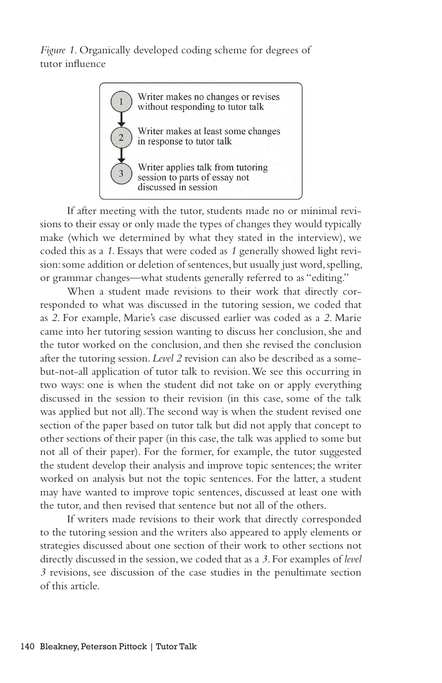*Figure 1.* Organically developed coding scheme for degrees of tutor influence



If after meeting with the tutor, students made no or minimal revisions to their essay or only made the types of changes they would typically make (which we determined by what they stated in the interview), we coded this as a *1*. Essays that were coded as *1* generally showed light revision: some addition or deletion of sentences, but usually just word, spelling, or grammar changes—what students generally referred to as "editing."

When a student made revisions to their work that directly corresponded to what was discussed in the tutoring session, we coded that as *2*. For example, Marie's case discussed earlier was coded as a *2*. Marie came into her tutoring session wanting to discuss her conclusion, she and the tutor worked on the conclusion, and then she revised the conclusion after the tutoring session. *Level 2* revision can also be described as a somebut-not-all application of tutor talk to revision. We see this occurring in two ways: one is when the student did not take on or apply everything discussed in the session to their revision (in this case, some of the talk was applied but not all). The second way is when the student revised one section of the paper based on tutor talk but did not apply that concept to other sections of their paper (in this case, the talk was applied to some but not all of their paper). For the former, for example, the tutor suggested the student develop their analysis and improve topic sentences; the writer worked on analysis but not the topic sentences. For the latter, a student may have wanted to improve topic sentences, discussed at least one with the tutor, and then revised that sentence but not all of the others.

If writers made revisions to their work that directly corresponded to the tutoring session and the writers also appeared to apply elements or strategies discussed about one section of their work to other sections not directly discussed in the session, we coded that as a *3*. For examples of *level 3* revisions, see discussion of the case studies in the penultimate section of this article.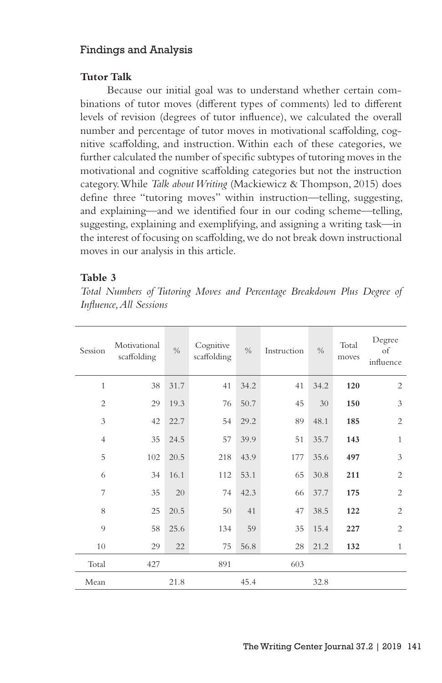## Findings and Analysis

#### **Tutor Talk**

Because our initial goal was to understand whether certain combinations of tutor moves (different types of comments) led to different levels of revision (degrees of tutor influence), we calculated the overall number and percentage of tutor moves in motivational scaffolding, cognitive scaffolding, and instruction. Within each of these categories, we further calculated the number of specific subtypes of tutoring moves in the motivational and cognitive scaffolding categories but not the instruction category. While *Talk about Writing* (Mackiewicz & Thompson, 2015) does define three "tutoring moves" within instruction—telling, suggesting, and explaining—and we identified four in our coding scheme—telling, suggesting, explaining and exemplifying, and assigning a writing task—in the interest of focusing on scaffolding, we do not break down instructional moves in our analysis in this article.

#### **Table 3**

*Total Numbers of Tutoring Moves and Percentage Breakdown Plus Degree of Influence, All Sessions*

| Session        | Motivational<br>scaffolding | $\frac{0}{0}$ | Cognitive<br>scaffolding | $\frac{0}{0}$ | Instruction | $\frac{0}{0}$ | Total<br>moves | Degree<br>of<br>influence |
|----------------|-----------------------------|---------------|--------------------------|---------------|-------------|---------------|----------------|---------------------------|
| $\mathbf{1}$   | 38                          | 31.7          | 41                       | 34.2          | 41          | 34.2          | 120            | $\overline{c}$            |
| $\overline{c}$ | 29                          | 19.3          | 76                       | 50.7          | 45          | 30            | 150            | 3                         |
| 3              | 42                          | 22.7          | 54                       | 29.2          | 89          | 48.1          | 185            | $\overline{c}$            |
| $\overline{4}$ | 35                          | 24.5          | 57                       | 39.9          | 51          | 35.7          | 143            | $\mathbf{1}$              |
| 5              | 102                         | 20.5          | 218                      | 43.9          | 177         | 35.6          | 497            | 3                         |
| 6              | 34                          | 16.1          | 112                      | 53.1          | 65          | 30.8          | 211            | $\overline{2}$            |
| 7              | 35                          | 20            | 74                       | 42.3          | 66          | 37.7          | 175            | $\overline{2}$            |
| 8              | 25                          | 20.5          | 50                       | 41            | 47          | 38.5          | 122            | $\overline{2}$            |
| 9              | 58                          | 25.6          | 134                      | 59            | 35          | 15.4          | 227            | $\overline{2}$            |
| 10             | 29                          | 22            | 75                       | 56.8          | 28          | 21.2          | 132            | $\mathbf{1}$              |
| Total          | 427                         |               | 891                      |               | 603         |               |                |                           |
| Mean           |                             | 21.8          |                          | 45.4          |             | 32.8          |                |                           |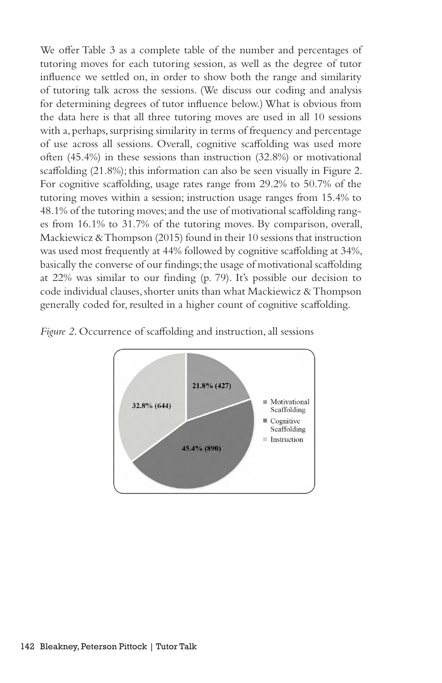We offer Table 3 as a complete table of the number and percentages of tutoring moves for each tutoring session, as well as the degree of tutor influence we settled on, in order to show both the range and similarity of tutoring talk across the sessions. (We discuss our coding and analysis for determining degrees of tutor influence below.) What is obvious from the data here is that all three tutoring moves are used in all 10 sessions with a, perhaps, surprising similarity in terms of frequency and percentage of use across all sessions. Overall, cognitive scaffolding was used more often (45.4%) in these sessions than instruction (32.8%) or motivational scaffolding (21.8%); this information can also be seen visually in Figure 2. For cognitive scaffolding, usage rates range from 29.2% to 50.7% of the tutoring moves within a session; instruction usage ranges from 15.4% to 48.1% of the tutoring moves; and the use of motivational scaffolding ranges from 16.1% to 31.7% of the tutoring moves. By comparison, overall, Mackiewicz & Thompson (2015) found in their 10 sessions that instruction was used most frequently at 44% followed by cognitive scaffolding at 34%, basically the converse of our findings; the usage of motivational scaffolding at 22% was similar to our finding (p. 79). It's possible our decision to code individual clauses, shorter units than what Mackiewicz & Thompson generally coded for, resulted in a higher count of cognitive scaffolding.



*Figure 2*. Occurrence of scaffolding and instruction, all sessions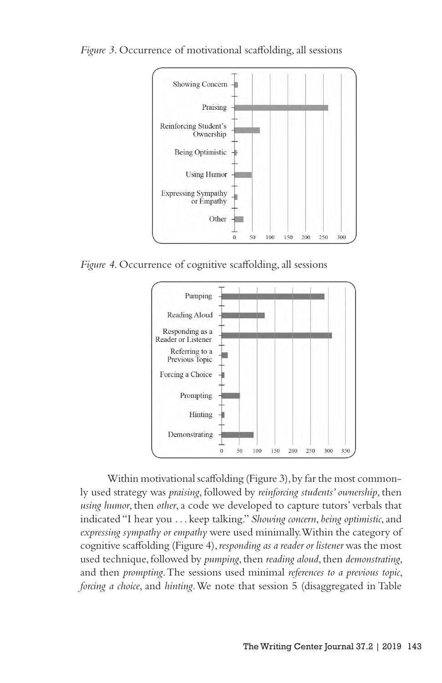

*Figure 3*. Occurrence of motivational scaffolding, all sessions

*Figure 4*. Occurrence of cognitive scaffolding, all sessions



Within motivational scaffolding (Figure 3), by far the most commonly used strategy was *praising*, followed by *reinforcing students' ownership*, then *using humor*, then *other*, a code we developed to capture tutors' verbals that indicated "I hear you . . . keep talking." *Showing concern*, *being optimistic*, and *expressing sympathy or empathy* were used minimally. Within the category of cognitive scaffolding (Figure 4), *responding as a reader or listener* was the most used technique, followed by *pumping*, then *reading aloud*, then *demonstrating*, and then *prompting*. The sessions used minimal *references to a previous topic*, *forcing a choice*, and *hinting*. We note that session 5 (disaggregated in Table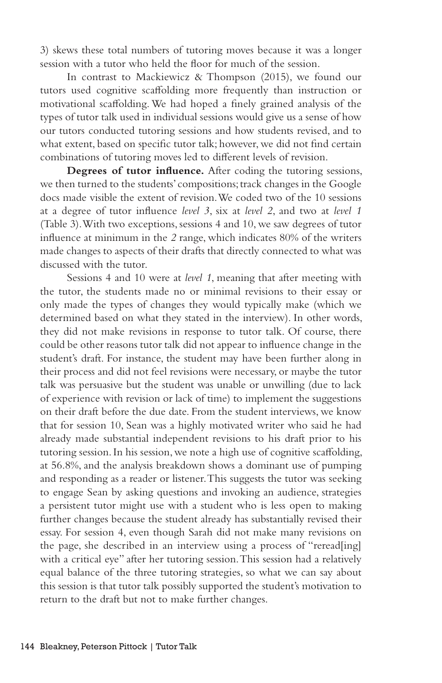3) skews these total numbers of tutoring moves because it was a longer session with a tutor who held the floor for much of the session.

In contrast to Mackiewicz & Thompson (2015), we found our tutors used cognitive scaffolding more frequently than instruction or motivational scaffolding. We had hoped a finely grained analysis of the types of tutor talk used in individual sessions would give us a sense of how our tutors conducted tutoring sessions and how students revised, and to what extent, based on specific tutor talk; however, we did not find certain combinations of tutoring moves led to different levels of revision.

**Degrees of tutor influence.** After coding the tutoring sessions, we then turned to the students' compositions; track changes in the Google docs made visible the extent of revision. We coded two of the 10 sessions at a degree of tutor influence *level 3*, six at *level 2*, and two at *level 1* (Table 3). With two exceptions, sessions 4 and 10, we saw degrees of tutor influence at minimum in the *2* range, which indicates 80% of the writers made changes to aspects of their drafts that directly connected to what was discussed with the tutor.

Sessions 4 and 10 were at *level 1*, meaning that after meeting with the tutor, the students made no or minimal revisions to their essay or only made the types of changes they would typically make (which we determined based on what they stated in the interview). In other words, they did not make revisions in response to tutor talk. Of course, there could be other reasons tutor talk did not appear to influence change in the student's draft. For instance, the student may have been further along in their process and did not feel revisions were necessary, or maybe the tutor talk was persuasive but the student was unable or unwilling (due to lack of experience with revision or lack of time) to implement the suggestions on their draft before the due date. From the student interviews, we know that for session 10, Sean was a highly motivated writer who said he had already made substantial independent revisions to his draft prior to his tutoring session. In his session, we note a high use of cognitive scaffolding, at 56.8%, and the analysis breakdown shows a dominant use of pumping and responding as a reader or listener. This suggests the tutor was seeking to engage Sean by asking questions and invoking an audience, strategies a persistent tutor might use with a student who is less open to making further changes because the student already has substantially revised their essay. For session 4, even though Sarah did not make many revisions on the page, she described in an interview using a process of "reread[ing] with a critical eye" after her tutoring session. This session had a relatively equal balance of the three tutoring strategies, so what we can say about this session is that tutor talk possibly supported the student's motivation to return to the draft but not to make further changes.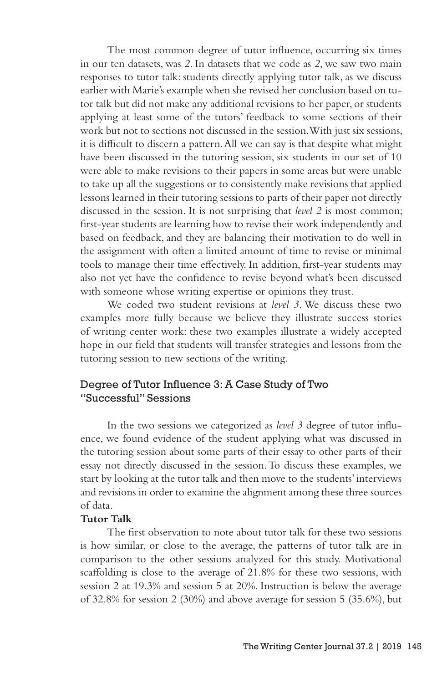The most common degree of tutor influence, occurring six times in our ten datasets, was *2*. In datasets that we code as *2*, we saw two main responses to tutor talk: students directly applying tutor talk, as we discuss earlier with Marie's example when she revised her conclusion based on tutor talk but did not make any additional revisions to her paper, or students applying at least some of the tutors' feedback to some sections of their work but not to sections not discussed in the session. With just six sessions, it is difficult to discern a pattern. All we can say is that despite what might have been discussed in the tutoring session, six students in our set of 10 were able to make revisions to their papers in some areas but were unable to take up all the suggestions or to consistently make revisions that applied lessons learned in their tutoring sessions to parts of their paper not directly discussed in the session. It is not surprising that *level 2* is most common; first-year students are learning how to revise their work independently and based on feedback, and they are balancing their motivation to do well in the assignment with often a limited amount of time to revise or minimal tools to manage their time effectively. In addition, first-year students may also not yet have the confidence to revise beyond what's been discussed with someone whose writing expertise or opinions they trust.

We coded two student revisions at *level 3*. We discuss these two examples more fully because we believe they illustrate success stories of writing center work: these two examples illustrate a widely accepted hope in our field that students will transfer strategies and lessons from the tutoring session to new sections of the writing.

## Degree of Tutor Influence 3: A Case Study of Two "Successful" Sessions

In the two sessions we categorized as *level 3* degree of tutor influence, we found evidence of the student applying what was discussed in the tutoring session about some parts of their essay to other parts of their essay not directly discussed in the session. To discuss these examples, we start by looking at the tutor talk and then move to the students' interviews and revisions in order to examine the alignment among these three sources of data.

#### **Tutor Talk**

The first observation to note about tutor talk for these two sessions is how similar, or close to the average, the patterns of tutor talk are in comparison to the other sessions analyzed for this study. Motivational scaffolding is close to the average of 21.8% for these two sessions, with session 2 at 19.3% and session 5 at 20%. Instruction is below the average of 32.8% for session 2 (30%) and above average for session 5 (35.6%), but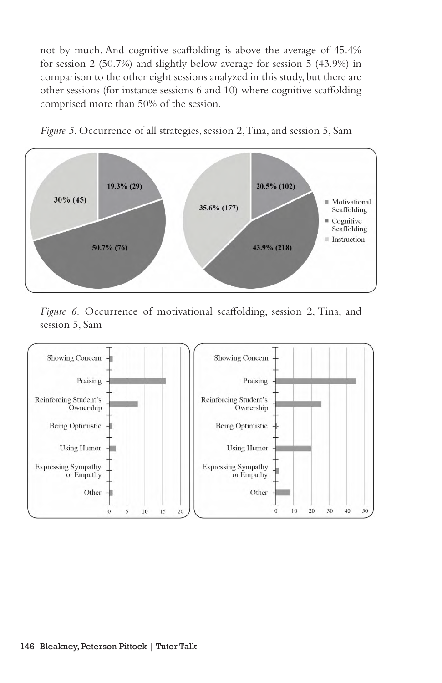not by much. And cognitive scaffolding is above the average of 45.4% for session 2 (50.7%) and slightly below average for session 5 (43.9%) in comparison to the other eight sessions analyzed in this study, but there are other sessions (for instance sessions 6 and 10) where cognitive scaffolding comprised more than 50% of the session.



*Figure 5*. Occurrence of all strategies, session 2, Tina, and session 5, Sam

*Figure 6.* Occurrence of motivational scaffolding, session 2, Tina, and session 5, Sam

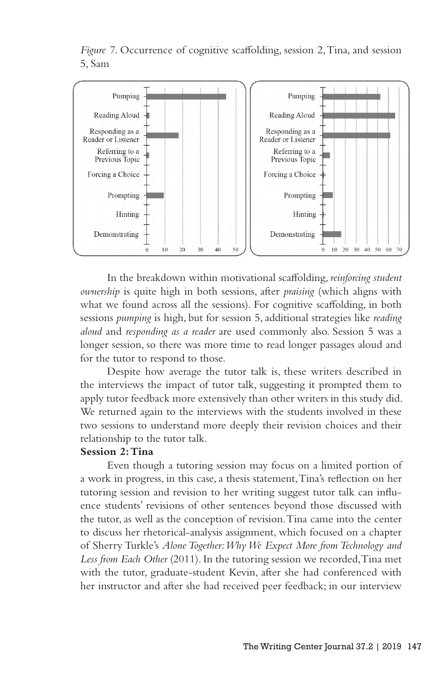*Figure 7*. Occurrence of cognitive scaffolding, session 2, Tina, and session 5, Sam



In the breakdown within motivational scaffolding, *reinforcing student ownership* is quite high in both sessions, after *praising* (which aligns with what we found across all the sessions). For cognitive scaffolding, in both sessions *pumping* is high, but for session 5, additional strategies like *reading aloud* and *responding as a reader* are used commonly also. Session 5 was a longer session, so there was more time to read longer passages aloud and for the tutor to respond to those.

Despite how average the tutor talk is, these writers described in the interviews the impact of tutor talk, suggesting it prompted them to apply tutor feedback more extensively than other writers in this study did. We returned again to the interviews with the students involved in these two sessions to understand more deeply their revision choices and their relationship to the tutor talk.

#### **Session 2: Tina**

Even though a tutoring session may focus on a limited portion of a work in progress, in this case, a thesis statement, Tina's reflection on her tutoring session and revision to her writing suggest tutor talk can influence students' revisions of other sentences beyond those discussed with the tutor, as well as the conception of revision. Tina came into the center to discuss her rhetorical-analysis assignment, which focused on a chapter of Sherry Turkle's *Alone Together: Why We Expect More from Technology and Less from Each Other* (2011). In the tutoring session we recorded, Tina met with the tutor, graduate-student Kevin, after she had conferenced with her instructor and after she had received peer feedback; in our interview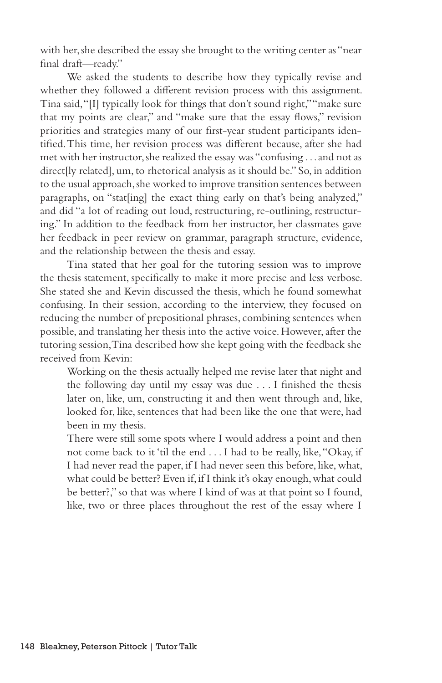with her, she described the essay she brought to the writing center as "near final draft—ready."

We asked the students to describe how they typically revise and whether they followed a different revision process with this assignment. Tina said, "[I] typically look for things that don't sound right," "make sure that my points are clear," and "make sure that the essay flows," revision priorities and strategies many of our first-year student participants identified. This time, her revision process was different because, after she had met with her instructor, she realized the essay was "confusing . . . and not as direct[ly related], um, to rhetorical analysis as it should be." So, in addition to the usual approach, she worked to improve transition sentences between paragraphs, on "stat[ing] the exact thing early on that's being analyzed," and did "a lot of reading out loud, restructuring, re-outlining, restructuring." In addition to the feedback from her instructor, her classmates gave her feedback in peer review on grammar, paragraph structure, evidence, and the relationship between the thesis and essay.

Tina stated that her goal for the tutoring session was to improve the thesis statement, specifically to make it more precise and less verbose. She stated she and Kevin discussed the thesis, which he found somewhat confusing. In their session, according to the interview, they focused on reducing the number of prepositional phrases, combining sentences when possible, and translating her thesis into the active voice. However, after the tutoring session, Tina described how she kept going with the feedback she received from Kevin:

Working on the thesis actually helped me revise later that night and the following day until my essay was due . . . I finished the thesis later on, like, um, constructing it and then went through and, like, looked for, like, sentences that had been like the one that were, had been in my thesis.

There were still some spots where I would address a point and then not come back to it 'til the end . . . I had to be really, like, "Okay, if I had never read the paper, if I had never seen this before, like, what, what could be better? Even if, if I think it's okay enough, what could be better?," so that was where I kind of was at that point so I found, like, two or three places throughout the rest of the essay where I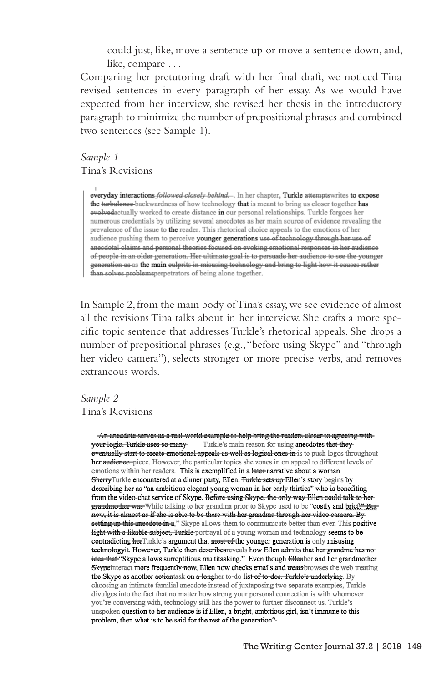could just, like, move a sentence up or move a sentence down, and, like, compare . . .

Comparing her pretutoring draft with her final draft, we noticed Tina revised sentences in every paragraph of her essay. As we would have expected from her interview, she revised her thesis in the introductory paragraph to minimize the number of prepositional phrases and combined two sentences (see Sample 1).

*Sample 1* Tina's Revisions

> everyday interactions-followed closely behind... In her chapter, Turkle attempts writes to expose the turbulence backwardness of how technology that is meant to bring us closer together has evolvedactually worked to create distance in our personal relationships. Turkle forgoes her numerous credentials by utilizing several anecdotes as her main source of evidence revealing the prevalence of the issue to the reader. This rhetorical choice appeals to the emotions of her audience pushing them to perceive younger generations use of technology through her use of anecdotal claims and personal theories focused on evoking emotional responses in her audience of people in an older generation. Her ultimate goal is to persuade her audience to see the younger generation as as the main culprits in misusing technology and bring to light how it causes rather than solves problemsperpetrators of being alone together.

In Sample 2, from the main body of Tina's essay, we see evidence of almost all the revisions Tina talks about in her interview. She crafts a more specific topic sentence that addresses Turkle's rhetorical appeals. She drops a number of prepositional phrases (e.g., "before using Skype" and "through her video camera"), selects stronger or more precise verbs, and removes extraneous words.

## *Sample 2* Tina's Revisions

-An aneedote serves as a real-world example to help bring the readers eloser to agreeing with-Turkle's main reason for using anecdotes that theyyour logie. Turkle uses so manyeventually start to create emotional appeals as well as logical ones in is to push logos throughout her audience-piece. However, the particular topics she zones in on appeal to different levels of emotions within her readers. This is exemplified in a later-narrative about a woman SherryTurkle encountered at a dinner party, Ellen. <del>Turkle sets up</del>-Ellen's story begins by describing her as "an ambitious elegant young woman in her early thirties" who is benefiting from the video-chat service of Skype. Before using Skype, the only way Ellen could talk to hergrandmother was While talking to her grandma prior to Skype used to be "costly and brief." Butnow, it is almost as if she is able to be there with her grandma through her video camera. By setting up this anecdote in a," Skype allows them to communicate better than ever. This positive light with a likable subject, Turkle-portrayal of a young woman and technology seems to be contradicting herTurkle's argument that most of the younger generation is only misusing technologyit. However, Turkle then describes reveals how Ellen admits that her grandma has noidea that "Skype allows surreptitious multitasking." Even though Ellenher and her grandmother Skypeinteract more frequently now, Ellen now checks emails and treats browses the web treating the Skype as another actiontask on a longher to-do list of to-dos. Turkle's underlying. By choosing an intimate familial anecdote instead of juxtaposing two separate examples, Turkle divulges into the fact that no matter how strong your personal connection is with whomever you're conversing with, technology still has the power to further disconnect us. Turkle's unspoken question to her audience is if Ellen, a bright, ambitious girl, isn't immune to this problem, then what is to be said for the rest of the generation?-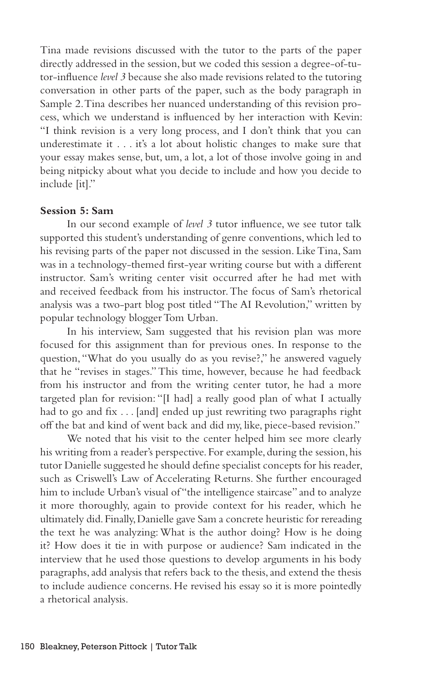Tina made revisions discussed with the tutor to the parts of the paper directly addressed in the session, but we coded this session a degree-of-tutor-influence *level 3* because she also made revisions related to the tutoring conversation in other parts of the paper, such as the body paragraph in Sample 2. Tina describes her nuanced understanding of this revision process, which we understand is influenced by her interaction with Kevin: "I think revision is a very long process, and I don't think that you can underestimate it . . . it's a lot about holistic changes to make sure that your essay makes sense, but, um, a lot, a lot of those involve going in and being nitpicky about what you decide to include and how you decide to include [it]."

### **Session 5: Sam**

In our second example of *level 3* tutor influence, we see tutor talk supported this student's understanding of genre conventions, which led to his revising parts of the paper not discussed in the session. Like Tina, Sam was in a technology-themed first-year writing course but with a different instructor. Sam's writing center visit occurred after he had met with and received feedback from his instructor. The focus of Sam's rhetorical analysis was a two-part blog post titled "The AI Revolution," written by popular technology blogger Tom Urban.

In his interview, Sam suggested that his revision plan was more focused for this assignment than for previous ones. In response to the question, "What do you usually do as you revise?," he answered vaguely that he "revises in stages." This time, however, because he had feedback from his instructor and from the writing center tutor, he had a more targeted plan for revision: "[I had] a really good plan of what I actually had to go and fix . . . [and] ended up just rewriting two paragraphs right off the bat and kind of went back and did my, like, piece-based revision."

We noted that his visit to the center helped him see more clearly his writing from a reader's perspective. For example, during the session, his tutor Danielle suggested he should define specialist concepts for his reader, such as Criswell's Law of Accelerating Returns. She further encouraged him to include Urban's visual of "the intelligence staircase" and to analyze it more thoroughly, again to provide context for his reader, which he ultimately did. Finally, Danielle gave Sam a concrete heuristic for rereading the text he was analyzing: What is the author doing? How is he doing it? How does it tie in with purpose or audience? Sam indicated in the interview that he used those questions to develop arguments in his body paragraphs, add analysis that refers back to the thesis, and extend the thesis to include audience concerns. He revised his essay so it is more pointedly a rhetorical analysis.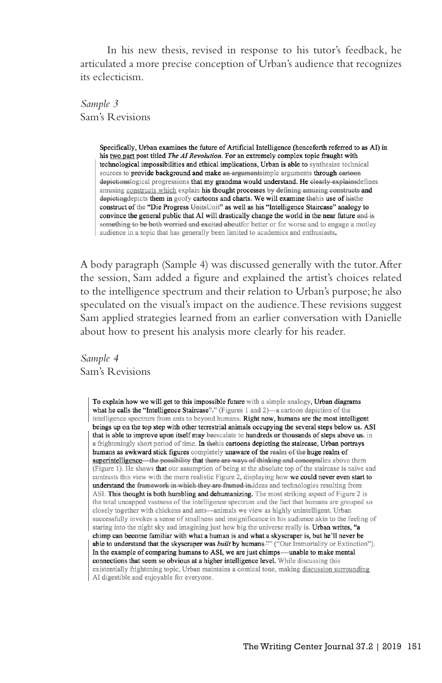In his new thesis, revised in response to his tutor's feedback, he articulated a more precise conception of Urban's audience that recognizes its eclecticism.

*Sample 3* Sam's Revisions

> Specifically, Urban examines the future of Artificial Intelligence (henceforth referred to as AI) in his two part post titled *The AI Revolution*. For an extremely complex topic fraught with technological impossibilities and ethical implications. Urban is able to synthesize technical sources to provide background and make an argumentsimple arguments through eartoon depictionslogical progressions that my grandma would understand. He clearly explainsdefines amusing constructs which explain his thought processes by defining amusing constructs and depicting depicts them in goofy cartoons and charts. We will examine the his use of histhe construct of the "Die Progress UnitsUnit" as well as his "Intelligence Staircase" analogy to convince the general public that AI will drastically change the world in the near future and is something to be both worried and excited aboutfor better or for worse and to engage a motley audience in a topic that has generally been limited to academics and enthusiasts.

A body paragraph (Sample 4) was discussed generally with the tutor. After the session, Sam added a figure and explained the artist's choices related to the intelligence spectrum and their relation to Urban's purpose; he also speculated on the visual's impact on the audience. These revisions suggest Sam applied strategies learned from an earlier conversation with Danielle about how to present his analysis more clearly for his reader.

*Sample 4* Sam's Revisions

> To explain how we will get to this impossible future with a simple analogy, Urban diagrams what he calls the "Intelligence Staircase"." (Figures 1 and 2) —a cartoon depiction of the intelligence spectrum from ants to beyond humans. Right now, humans are the most intelligent beings up on the top step with other terrestrial animals occupying the several steps below us. ASI that is able to improve upon itself may be escalate to hundreds or thousands of steps above us. in a frighteningly short period of time. In the his cartoons depicting the staircase, Urban portrays humans as awkward stick figures completely unaware of the realm of the huge realm of superintelligence—the possibility that there are ways of thinking and conceptslies above them (Figure 1). He shows that our assumption of being at the absolute top of the staircase is naive and contrasts this view with the more realistic Figure 2, displaying how we could never even start to understand the framework in which they are framed in-ideas and technologies resulting from ASI. This thought is both humbling and dehumanizing. The most striking aspect of Figure 2 is the total uncapped vastness of the intelligence spectrum and the fact that humans are grouped so closely together with chickens and ants-animals we view as highly unintelligent. Urban successfully invokes a sense of smallness and insignificance in his audience akin to the feeling of staring into the night sky and imagining just how big the universe really is. Urban writes, "a chimp can become familiar with what a human is and what a skyscraper is, but he'll never be able to understand that the skyscraper was built by humans."" ("Our Immortality or Extinction"). In the example of comparing humans to ASI, we are just chimps—unable to make mental connections that seem so obvious at a higher intelligence level. While discussing this existentially frightening topic, Urban maintains a comical tone, making discussion surrounding AI digestible and enjoyable for everyone.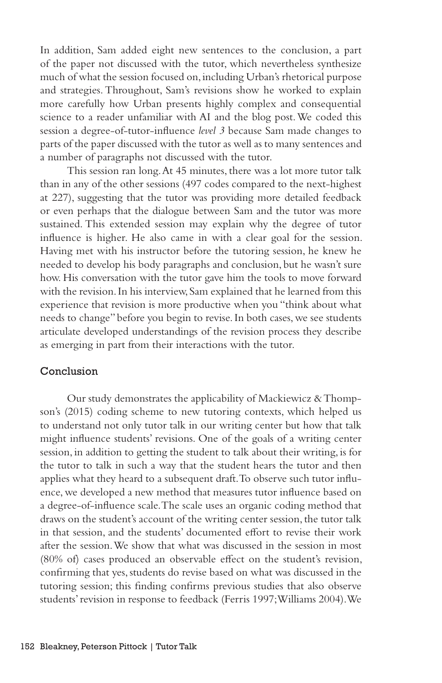In addition, Sam added eight new sentences to the conclusion, a part of the paper not discussed with the tutor, which nevertheless synthesize much of what the session focused on, including Urban's rhetorical purpose and strategies. Throughout, Sam's revisions show he worked to explain more carefully how Urban presents highly complex and consequential science to a reader unfamiliar with AI and the blog post. We coded this session a degree-of-tutor-influence *level 3* because Sam made changes to parts of the paper discussed with the tutor as well as to many sentences and a number of paragraphs not discussed with the tutor.

This session ran long. At 45 minutes, there was a lot more tutor talk than in any of the other sessions (497 codes compared to the next-highest at 227), suggesting that the tutor was providing more detailed feedback or even perhaps that the dialogue between Sam and the tutor was more sustained. This extended session may explain why the degree of tutor influence is higher. He also came in with a clear goal for the session. Having met with his instructor before the tutoring session, he knew he needed to develop his body paragraphs and conclusion, but he wasn't sure how. His conversation with the tutor gave him the tools to move forward with the revision. In his interview, Sam explained that he learned from this experience that revision is more productive when you "think about what needs to change" before you begin to revise. In both cases, we see students articulate developed understandings of the revision process they describe as emerging in part from their interactions with the tutor.

#### Conclusion

Our study demonstrates the applicability of Mackiewicz & Thompson's (2015) coding scheme to new tutoring contexts, which helped us to understand not only tutor talk in our writing center but how that talk might influence students' revisions. One of the goals of a writing center session, in addition to getting the student to talk about their writing, is for the tutor to talk in such a way that the student hears the tutor and then applies what they heard to a subsequent draft. To observe such tutor influence, we developed a new method that measures tutor influence based on a degree-of-influence scale. The scale uses an organic coding method that draws on the student's account of the writing center session, the tutor talk in that session, and the students' documented effort to revise their work after the session. We show that what was discussed in the session in most (80% of) cases produced an observable effect on the student's revision, confirming that yes, students do revise based on what was discussed in the tutoring session; this finding confirms previous studies that also observe students' revision in response to feedback (Ferris 1997; Williams 2004). We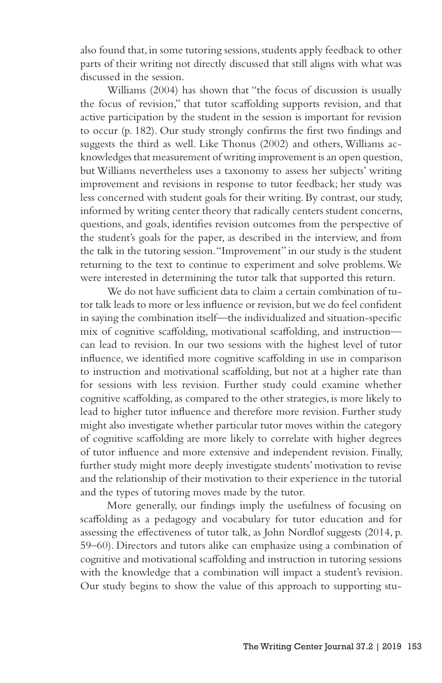also found that, in some tutoring sessions, students apply feedback to other parts of their writing not directly discussed that still aligns with what was discussed in the session.

Williams (2004) has shown that "the focus of discussion is usually the focus of revision," that tutor scaffolding supports revision, and that active participation by the student in the session is important for revision to occur (p. 182). Our study strongly confirms the first two findings and suggests the third as well. Like Thonus (2002) and others, Williams acknowledges that measurement of writing improvement is an open question, but Williams nevertheless uses a taxonomy to assess her subjects' writing improvement and revisions in response to tutor feedback; her study was less concerned with student goals for their writing. By contrast, our study, informed by writing center theory that radically centers student concerns, questions, and goals, identifies revision outcomes from the perspective of the student's goals for the paper, as described in the interview, and from the talk in the tutoring session. "Improvement" in our study is the student returning to the text to continue to experiment and solve problems. We were interested in determining the tutor talk that supported this return.

We do not have sufficient data to claim a certain combination of tutor talk leads to more or less influence or revision, but we do feel confident in saying the combination itself—the individualized and situation-specific mix of cognitive scaffolding, motivational scaffolding, and instruction can lead to revision. In our two sessions with the highest level of tutor influence, we identified more cognitive scaffolding in use in comparison to instruction and motivational scaffolding, but not at a higher rate than for sessions with less revision. Further study could examine whether cognitive scaffolding, as compared to the other strategies, is more likely to lead to higher tutor influence and therefore more revision. Further study might also investigate whether particular tutor moves within the category of cognitive scaffolding are more likely to correlate with higher degrees of tutor influence and more extensive and independent revision. Finally, further study might more deeply investigate students' motivation to revise and the relationship of their motivation to their experience in the tutorial and the types of tutoring moves made by the tutor.

More generally, our findings imply the usefulness of focusing on scaffolding as a pedagogy and vocabulary for tutor education and for assessing the effectiveness of tutor talk, as John Nordlof suggests (2014, p. 59–60). Directors and tutors alike can emphasize using a combination of cognitive and motivational scaffolding and instruction in tutoring sessions with the knowledge that a combination will impact a student's revision. Our study begins to show the value of this approach to supporting stu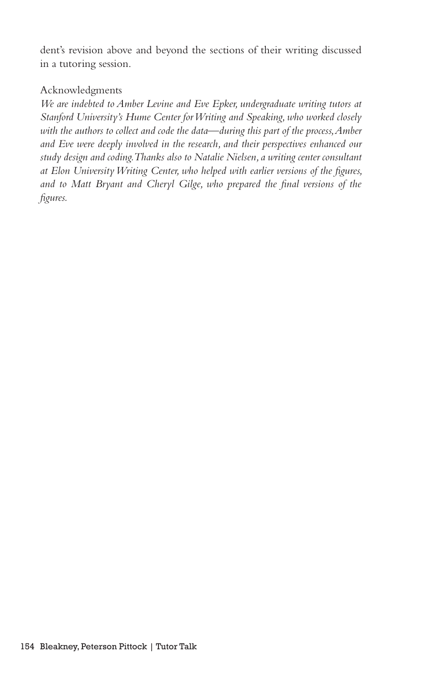dent's revision above and beyond the sections of their writing discussed in a tutoring session.

## Acknowledgments

*We are indebted to Amber Levine and Eve Epker, undergraduate writing tutors at Stanford University's Hume Center for Writing and Speaking, who worked closely*  with the authors to collect and code the data—during this part of the process, Amber *and Eve were deeply involved in the research, and their perspectives enhanced our study design and coding. Thanks also to Natalie Nielsen, a writing center consultant at Elon University Writing Center, who helped with earlier versions of the figures, and to Matt Bryant and Cheryl Gilge, who prepared the final versions of the figures.*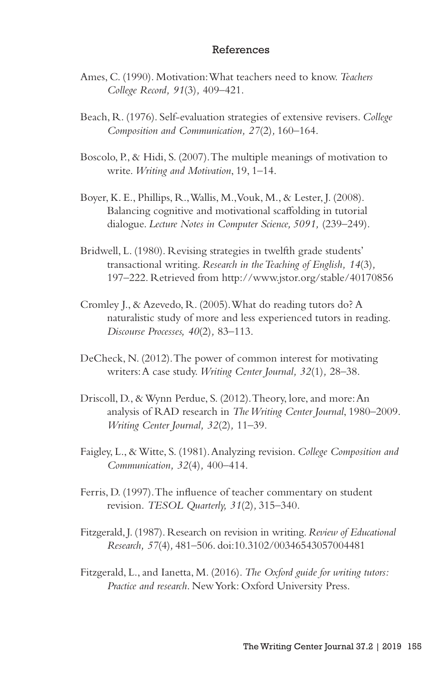#### References

- Ames, C. (1990). Motivation: What teachers need to know. *Teachers College Record, 91*(3)*,* 409–421.
- Beach, R. (1976). Self-evaluation strategies of extensive revisers. *College Composition and Communication, 27*(2)*,* 160–164.
- Boscolo, P., & Hidi, S. (2007). The multiple meanings of motivation to write. *Writing and Motivation*, 19, 1–14.
- Boyer, K. E., Phillips, R., Wallis, M., Vouk, M., & Lester, J. (2008). Balancing cognitive and motivational scaffolding in tutorial dialogue. *Lecture Notes in Computer Science, 5091,* (239–249).
- Bridwell, L. (1980). Revising strategies in twelfth grade students' transactional writing. *Research in the Teaching of English, 14*(3)*,*  197–222. Retrieved from http://www.jstor.org/stable/40170856
- Cromley J., & Azevedo, R. (2005). What do reading tutors do? A naturalistic study of more and less experienced tutors in reading. *Discourse Processes, 40*(2)*,* 83–113.
- DeCheck, N. (2012). The power of common interest for motivating writers: A case study. *Writing Center Journal, 32*(1)*,* 28–38.
- Driscoll, D., & Wynn Perdue, S. (2012). Theory, lore, and more: An analysis of RAD research in *The Writing Center Journal*, 1980–2009. *Writing Center Journal, 32*(2)*,* 11–39.
- Faigley, L., & Witte, S. (1981). Analyzing revision. *College Composition and Communication, 32*(4)*,* 400–414.
- Ferris, D. (1997). The influence of teacher commentary on student revision. *TESOL Quarterly, 31*(2)*,* 315–340.
- Fitzgerald, J. (1987). Research on revision in writing. *Review of Educational Research, 57*(4)*,* 481–506. doi:10.3102/00346543057004481
- Fitzgerald, L., and Ianetta, M. (2016). *The Oxford guide for writing tutors: Practice and research*. New York: Oxford University Press.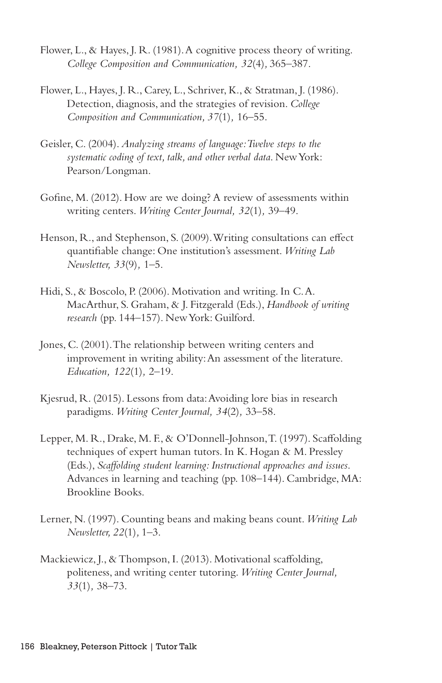- Flower, L., & Hayes, J. R. (1981). A cognitive process theory of writing. *College Composition and Communication, 32*(4)*,* 365–387.
- Flower, L., Hayes, J. R., Carey, L., Schriver, K., & Stratman, J. (1986). Detection, diagnosis, and the strategies of revision. *College Composition and Communication, 37*(1)*,* 16–55.
- Geisler, C. (2004). *Analyzing streams of language: Twelve steps to the systematic coding of text, talk, and other verbal data*. New York: Pearson/Longman.
- Gofine, M. (2012). How are we doing? A review of assessments within writing centers. *Writing Center Journal, 32*(1)*,* 39–49.
- Henson, R., and Stephenson, S. (2009). Writing consultations can effect quantifiable change: One institution's assessment. *Writing Lab Newsletter, 33*(9)*,* 1–5.
- Hidi, S., & Boscolo, P. (2006). Motivation and writing. In C. A. MacArthur, S. Graham, & J. Fitzgerald (Eds.), *Handbook of writing research* (pp. 144–157). New York: Guilford.
- Jones, C. (2001). The relationship between writing centers and improvement in writing ability: An assessment of the literature. *Education, 122*(1)*,* 2–19.
- Kjesrud, R. (2015). Lessons from data: Avoiding lore bias in research paradigms. *Writing Center Journal, 34*(2)*,* 33–58.
- Lepper, M. R., Drake, M. F., & O'Donnell-Johnson, T. (1997). Scaffolding techniques of expert human tutors. In K. Hogan & M. Pressley (Eds.), *Scaffolding student learning: Instructional approaches and issues*. Advances in learning and teaching (pp. 108–144). Cambridge, MA: Brookline Books.
- Lerner, N. (1997). Counting beans and making beans count. *Writing Lab Newsletter, 22*(1)*,* 1–3.
- Mackiewicz, J., & Thompson, I. (2013). Motivational scaffolding, politeness, and writing center tutoring. *Writing Center Journal, 33*(1)*,* 38–73.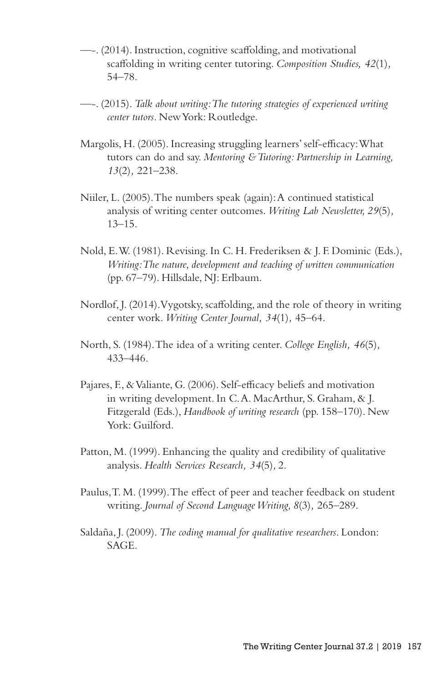- —-. (2014). Instruction, cognitive scaffolding, and motivational scaffolding in writing center tutoring. *Composition Studies, 42*(1)*,* 54–78.
- —-. (2015). *Talk about writing: The tutoring strategies of experienced writing center tutors*. New York: Routledge.
- Margolis, H. (2005). Increasing struggling learners' self-efficacy: What tutors can do and say. *Mentoring & Tutoring: Partnership in Learning, 13*(2)*,* 221–238.
- Niiler, L. (2005). The numbers speak (again): A continued statistical analysis of writing center outcomes. *Writing Lab Newsletter, 29*(5)*,* 13–15.
- Nold, E. W. (1981). Revising. In C. H. Frederiksen & J. F. Dominic (Eds.), *Writing: The nature, development and teaching of written communication* (pp. 67–79). Hillsdale, NJ: Erlbaum.
- Nordlof, J. (2014). Vygotsky, scaffolding, and the role of theory in writing center work. *Writing Center Journal, 34*(1)*,* 45–64.
- North, S. (1984). The idea of a writing center. *College English, 46*(5)*,*  433–446.
- Pajares, F., & Valiante, G. (2006). Self-efficacy beliefs and motivation in writing development. In C. A. MacArthur, S. Graham, & J. Fitzgerald (Eds.), *Handbook of writing research* (pp. 158–170). New York: Guilford*.*
- Patton, M. (1999). Enhancing the quality and credibility of qualitative analysis. *Health Services Research, 34*(5)*,* 2.
- Paulus, T. M. (1999). The effect of peer and teacher feedback on student writing. *Journal of Second Language Writing, 8*(3)*,* 265–289.
- Saldaña, J. (2009). *The coding manual for qualitative researchers*. London: SAGE.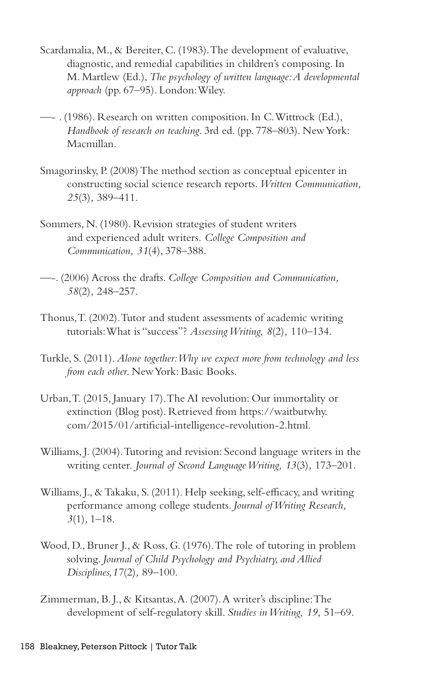- Scardamalia, M., & Bereiter, C. (1983). The development of evaluative, diagnostic, and remedial capabilities in children's composing. In M. Martlew (Ed.), *The psychology of written language: A developmental approach* (pp. 67–95). London: Wiley.
- —- . (1986). Research on written composition. In C. Wittrock (Ed.), *Handbook of research on teaching*. 3rd ed. (pp. 778–803). New York: Macmillan.
- Smagorinsky, P. (2008) The method section as conceptual epicenter in constructing social science research reports. *Written Communication, 25*(3)*,* 389–411.
- Sommers, N. (1980). Revision strategies of student writers and experienced adult writers. *College Composition and Communication, 31*(4), 378–388.
- —-. (2006) Across the drafts. *College Composition and Communication, 58*(2)*,* 248–257.
- Thonus, T. (2002). Tutor and student assessments of academic writing tutorials: What is "success"? *Assessing Writing, 8*(2)*,* 110–134.
- Turkle, S. (2011). *Alone together: Why we expect more from technology and less from each other*. New York: Basic Books.
- Urban, T. (2015, January 17). The AI revolution: Our immortality or extinction (Blog post). Retrieved from https://waitbutwhy. com/2015/01/artificial-intelligence-revolution-2.html.
- Williams, J. (2004). Tutoring and revision: Second language writers in the writing center. *Journal of Second Language Writing, 13*(3)*,* 173–201.
- Williams, J., & Takaku, S. (2011). Help seeking, self-efficacy, and writing performance among college students. *Journal of Writing Research, 3*(1)*,* 1–18.
- Wood, D., Bruner J., & Ross, G. (1976). The role of tutoring in problem solving. *Journal of Child Psychology and Psychiatry, and Allied Disciplines,17*(2)*,* 89–100.
- Zimmerman, B. J., & Kitsantas, A. (2007). A writer's discipline: The development of self-regulatory skill. *Studies in Writing, 19,* 51–69.